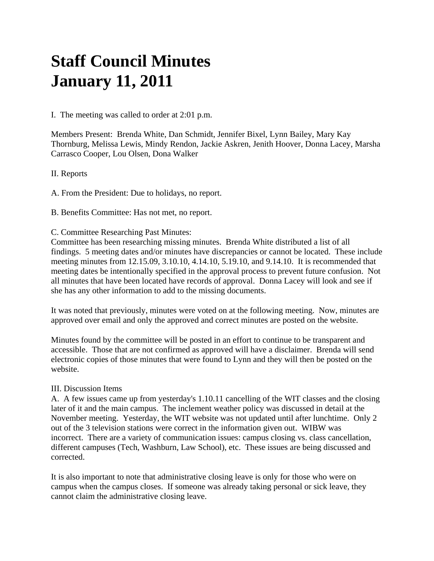# **Staff Council Minutes January 11, 2011**

I. The meeting was called to order at 2:01 p.m.

Members Present: Brenda White, Dan Schmidt, Jennifer Bixel, Lynn Bailey, Mary Kay Thornburg, Melissa Lewis, Mindy Rendon, Jackie Askren, Jenith Hoover, Donna Lacey, Marsha Carrasco Cooper, Lou Olsen, Dona Walker

## II. Reports

A. From the President: Due to holidays, no report.

B. Benefits Committee: Has not met, no report.

#### C. Committee Researching Past Minutes:

Committee has been researching missing minutes. Brenda White distributed a list of all findings. 5 meeting dates and/or minutes have discrepancies or cannot be located. These include meeting minutes from 12.15.09, 3.10.10, 4.14.10, 5.19.10, and 9.14.10. It is recommended that meeting dates be intentionally specified in the approval process to prevent future confusion. Not all minutes that have been located have records of approval. Donna Lacey will look and see if she has any other information to add to the missing documents.

It was noted that previously, minutes were voted on at the following meeting. Now, minutes are approved over email and only the approved and correct minutes are posted on the website.

Minutes found by the committee will be posted in an effort to continue to be transparent and accessible. Those that are not confirmed as approved will have a disclaimer. Brenda will send electronic copies of those minutes that were found to Lynn and they will then be posted on the website.

### III. Discussion Items

A. A few issues came up from yesterday's 1.10.11 cancelling of the WIT classes and the closing later of it and the main campus. The inclement weather policy was discussed in detail at the November meeting. Yesterday, the WIT website was not updated until after lunchtime. Only 2 out of the 3 television stations were correct in the information given out. WIBW was incorrect. There are a variety of communication issues: campus closing vs. class cancellation, different campuses (Tech, Washburn, Law School), etc. These issues are being discussed and corrected.

It is also important to note that administrative closing leave is only for those who were on campus when the campus closes. If someone was already taking personal or sick leave, they cannot claim the administrative closing leave.